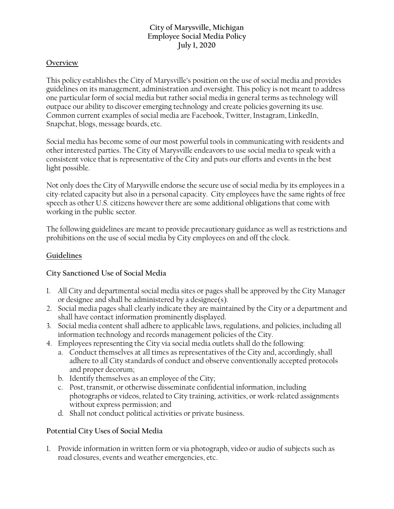## **City of Marysville, Michigan Employee Social Media Policy July 1, 2020**

#### **Overview**

This policy establishes the City of Marysville's position on the use of social media and provides guidelines on its management, administration and oversight. This policy is not meant to address one particular form of social media but rather social media in general terms as technology will outpace our ability to discover emerging technology and create policies governing its use. Common current examples of social media are Facebook, Twitter, Instagram, LinkedIn, Snapchat, blogs, message boards, etc.

Social media has become some of our most powerful tools in communicating with residents and other interested parties. The City of Marysville endeavors to use social media to speak with a consistent voice that is representative of the City and puts our efforts and events in the best light possible.

Not only does the City of Marysville endorse the secure use of social media by its employees in a city-related capacity but also in a personal capacity. City employees have the same rights of free speech as other U.S. citizens however there are some additional obligations that come with working in the public sector.

The following guidelines are meant to provide precautionary guidance as well as restrictions and prohibitions on the use of social media by City employees on and off the clock.

### **Guidelines**

## **City Sanctioned Use of Social Media**

- 1. All City and departmental social media sites or pages shall be approved by the City Manager or designee and shall be administered by a designee(s).
- 2. Social media pages shall clearly indicate they are maintained by the City or a department and shall have contact information prominently displayed.
- 3. Social media content shall adhere to applicable laws, regulations, and policies, including all information technology and records management policies of the City.
- 4. Employees representing the City via social media outlets shall do the following:
	- a. Conduct themselves at all times as representatives of the City and, accordingly, shall adhere to all City standards of conduct and observe conventionally accepted protocols and proper decorum;
	- b. Identify themselves as an employee of the City;
	- c. Post, transmit, or otherwise disseminate confidential information, including photographs or videos, related to City training, activities, or work-related assignments without express permission; and
	- d. Shall not conduct political activities or private business.

## **Potential City Uses of Social Media**

1. Provide information in written form or via photograph, video or audio of subjects such as road closures, events and weather emergencies, etc.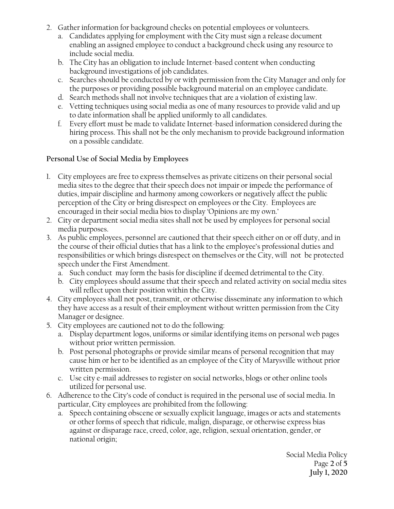- 2. Gather information for background checks on potential employees or volunteers.
	- a. Candidates applying for employment with the City must sign a release document enabling an assigned employee to conduct a background check using any resource to include social media.
	- b. The City has an obligation to include Internet-based content when conducting background investigations of job candidates.
	- c. Searches should be conducted by or with permission from the City Manager and only for the purposes or providing possible background material on an employee candidate.
	- d. Search methods shall not involve techniques that are a violation of existing law.
	- e. Vetting techniques using social media as one of many resources to provide valid and up to date information shall be applied uniformly to all candidates.
	- f. Every effort must be made to validate Internet-based information considered during the hiring process. This shall not be the only mechanism to provide background information on a possible candidate.

### **Personal Use of Social Media by Employees**

- 1. City employees are free to express themselves as private citizens on their personal social media sites to the degree that their speech does not impair or impede the performance of duties, impair discipline and harmony among coworkers or negatively affect the public perception of the City or bring disrespect on employees or the City. Employees are encouraged in their social media bios to display 'Opinions are my own.'
- 2. City or department social media sites shall not be used by employees for personal social media purposes.
- 3. As public employees, personnel are cautioned that their speech either on or off duty, and in the course of their official duties that has a link to the employee's professional duties and responsibilities or which brings disrespect on themselves or the City, will not be protected speech under the First Amendment.
	- a. Such conduct may form the basis for discipline if deemed detrimental to the City.
	- b. City employees should assume that their speech and related activity on social media sites will reflect upon their position within the City.
- 4. City employees shall not post, transmit, or otherwise disseminate any information to which they have access as a result of their employment without written permission from the City Manager or designee.
- 5. City employees are cautioned not to do the following:
	- a. Display department logos, uniforms or similar identifying items on personal web pages without prior written permission.
	- b. Post personal photographs or provide similar means of personal recognition that may cause him or her to be identified as an employee of the City of Marysville without prior written permission.
	- c. Use city e-mail addresses to register on social networks, blogs or other online tools utilized for personal use.
- 6. Adherence to the City's code of conduct is required in the personal use of social media. In particular, City employees are prohibited from the following:
	- a. Speech containing obscene or sexually explicit language, images or acts and statements or other forms of speech that ridicule, malign, disparage, or otherwise express bias against or disparage race, creed, color, age, religion, sexual orientation, gender, or national origin;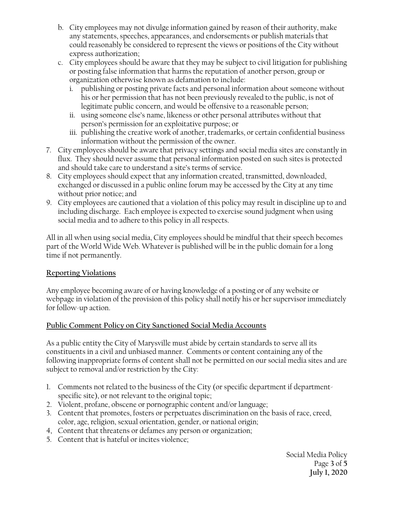- b. City employees may not divulge information gained by reason of their authority, make any statements, speeches, appearances, and endorsements or publish materials that could reasonably be considered to represent the views or positions of the City without express authorization;
- c. City employees should be aware that they may be subject to civil litigation for publishing or posting false information that harms the reputation of another person, group or organization otherwise known as defamation to include:
	- i. publishing or posting private facts and personal information about someone without his or her permission that has not been previously revealed to the public, is not of legitimate public concern, and would be offensive to a reasonable person;
	- ii. using someone else's name, likeness or other personal attributes without that person's permission for an exploitative purpose; or
	- iii. publishing the creative work of another, trademarks, or certain confidential business information without the permission of the owner.
- 7. City employees should be aware that privacy settings and social media sites are constantly in flux. They should never assume that personal information posted on such sites is protected and should take care to understand a site's terms of service.
- 8. City employees should expect that any information created, transmitted, downloaded, exchanged or discussed in a public online forum may be accessed by the City at any time without prior notice; and
- 9. City employees are cautioned that a violation of this policy may result in discipline up to and including discharge. Each employee is expected to exercise sound judgment when using social media and to adhere to this policy in all respects.

All in all when using social media, City employees should be mindful that their speech becomes part of the World Wide Web. Whatever is published will be in the public domain for a long time if not permanently.

## **Reporting Violations**

Any employee becoming aware of or having knowledge of a posting or of any website or webpage in violation of the provision of this policy shall notify his or her supervisor immediately for follow-up action.

# **Public Comment Policy on City Sanctioned Social Media Accounts**

As a public entity the City of Marysville must abide by certain standards to serve all its constituents in a civil and unbiased manner. Comments or content containing any of the following inappropriate forms of content shall not be permitted on our social media sites and are subject to removal and/or restriction by the City:

- 1. Comments not related to the business of the City (or specific department if departmentspecific site), or not relevant to the original topic;
- 2. Violent, profane, obscene or pornographic content and/or language;
- 3. Content that promotes, fosters or perpetuates discrimination on the basis of race, creed, color, age, religion, sexual orientation, gender, or national origin;
- 4, Content that threatens or defames any person or organization;
- 5. Content that is hateful or incites violence;

Social Media Policy Page **3** of **5 July 1, 2020**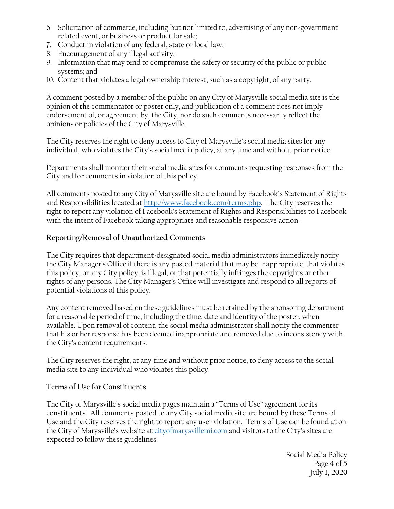- 6. Solicitation of commerce, including but not limited to, advertising of any non-government related event, or business or product for sale;
- 7. Conduct in violation of any federal, state or local law;
- 8. Encouragement of any illegal activity;
- 9. Information that may tend to compromise the safety or security of the public or public systems; and
- 10. Content that violates a legal ownership interest, such as a copyright, of any party.

A comment posted by a member of the public on any City of Marysville social media site is the opinion of the commentator or poster only, and publication of a comment does not imply endorsement of, or agreement by, the City, nor do such comments necessarily reflect the opinions or policies of the City of Marysville.

The City reserves the right to deny access to City of Marysville's social media sites for any individual, who violates the City's social media policy, at any time and without prior notice.

Departments shall monitor their social media sites for comments requesting responses from the City and for comments in violation of this policy.

All comments posted to any City of Marysville site are bound by Facebook's Statement of Rights and Responsibilities located a[t http://www.facebook.com/terms.php.](http://www.facebook.com/terms.php) The City reserves the right to report any violation of Facebook's Statement of Rights and Responsibilities to Facebook with the intent of Facebook taking appropriate and reasonable responsive action.

#### **Reporting/Removal of Unauthorized Comments**

The City requires that department-designated social media administrators immediately notify the City Manager's Office if there is any posted material that may be inappropriate, that violates this policy, or any City policy, is illegal, or that potentially infringes the copyrights or other rights of any persons. The City Manager's Office will investigate and respond to all reports of potential violations of this policy.

Any content removed based on these guidelines must be retained by the sponsoring department for a reasonable period of time, including the time, date and identity of the poster, when available. Upon removal of content, the social media administrator shall notify the commenter that his or her response has been deemed inappropriate and removed due to inconsistency with the City's content requirements.

The City reserves the right, at any time and without prior notice, to deny access to the social media site to any individual who violates this policy.

#### **Terms of Use for Constituents**

The City of Marysville's social media pages maintain a "Terms of Use" agreement for its constituents. All comments posted to any City social media site are bound by these Terms of Use and the City reserves the right to report any user violation. Terms of Use can be found at on the City of Marysville's website at [cityofmarysvillemi.com](http://www.cityofmarysvillemi.com/) and visitors to the City's sites are expected to follow these guidelines.

> Social Media Policy Page **4** of **5 July 1, 2020**